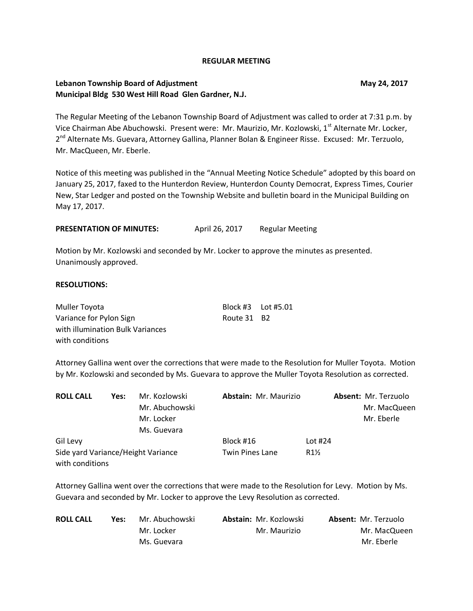#### **REGULAR MEETING**

## **Lebanon Township Board of Adjustment May 24, 2017 Municipal Bldg 530 West Hill Road Glen Gardner, N.J.**

The Regular Meeting of the Lebanon Township Board of Adjustment was called to order at 7:31 p.m. by Vice Chairman Abe Abuchowski. Present were: Mr. Maurizio, Mr. Kozlowski, 1<sup>st</sup> Alternate Mr. Locker, 2<sup>nd</sup> Alternate Ms. Guevara, Attorney Gallina, Planner Bolan & Engineer Risse. Excused: Mr. Terzuolo, Mr. MacQueen, Mr. Eberle.

Notice of this meeting was published in the "Annual Meeting Notice Schedule" adopted by this board on January 25, 2017, faxed to the Hunterdon Review, Hunterdon County Democrat, Express Times, Courier New, Star Ledger and posted on the Township Website and bulletin board in the Municipal Building on May 17, 2017.

PRESENTATION OF MINUTES: April 26, 2017 Regular Meeting

Motion by Mr. Kozlowski and seconded by Mr. Locker to approve the minutes as presented. Unanimously approved.

#### **RESOLUTIONS:**

| Muller Toyota                    | Block #3    Lot #5.01 |  |
|----------------------------------|-----------------------|--|
| Variance for Pylon Sign          | Route 31 B2           |  |
| with illumination Bulk Variances |                       |  |
| with conditions                  |                       |  |

Attorney Gallina went over the corrections that were made to the Resolution for Muller Toyota. Motion by Mr. Kozlowski and seconded by Ms. Guevara to approve the Muller Toyota Resolution as corrected.

| <b>ROLL CALL</b>                   | Yes: | Mr. Kozlowski  | Abstain: Mr. Maurizio  |                 | Absent: Mr. Terzuolo |
|------------------------------------|------|----------------|------------------------|-----------------|----------------------|
|                                    |      | Mr. Abuchowski |                        |                 | Mr. MacQueen         |
|                                    |      | Mr. Locker     |                        |                 | Mr. Eberle           |
|                                    |      | Ms. Guevara    |                        |                 |                      |
| Gil Levy                           |      |                | Block #16              | Lot $#24$       |                      |
| Side yard Variance/Height Variance |      |                | <b>Twin Pines Lane</b> | $R1\frac{1}{2}$ |                      |
| with conditions                    |      |                |                        |                 |                      |

Attorney Gallina went over the corrections that were made to the Resolution for Levy. Motion by Ms. Guevara and seconded by Mr. Locker to approve the Levy Resolution as corrected.

| <b>ROLL CALL</b> | Yes: | Mr. Abuchowski | <b>Abstain: Mr. Kozlowski</b> | <b>Absent: Mr. Terzuolo</b> |
|------------------|------|----------------|-------------------------------|-----------------------------|
|                  |      | Mr. Locker     | Mr. Maurizio                  | Mr. MacQueen                |
|                  |      | Ms. Guevara    |                               | Mr. Eberle                  |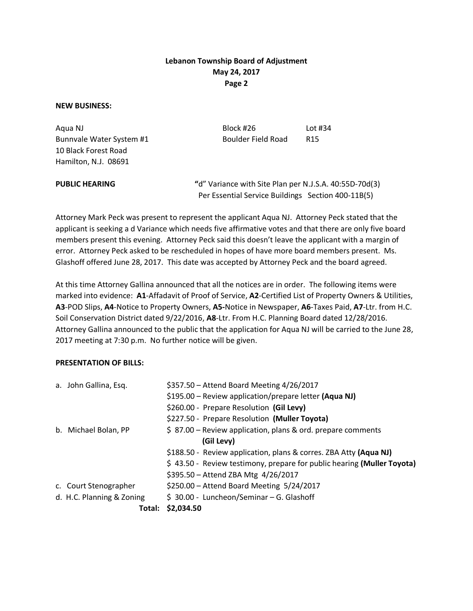# **Lebanon Township Board of Adjustment May 24, 2017 Page 2**

### **NEW BUSINESS:**

10 Black Forest Road Hamilton, N.J. 08691

Aqua NJ Block #26 Lot #34 Bunnvale Water System #1 Boulder Field Road R15

**PUBLIC HEARING "**d" Variance with Site Plan per N.J.S.A. 40:55D-70d(3) Per Essential Service Buildings Section 400-11B(5)

Attorney Mark Peck was present to represent the applicant Aqua NJ. Attorney Peck stated that the applicant is seeking a d Variance which needs five affirmative votes and that there are only five board members present this evening. Attorney Peck said this doesn't leave the applicant with a margin of error. Attorney Peck asked to be rescheduled in hopes of have more board members present. Ms. Glashoff offered June 28, 2017. This date was accepted by Attorney Peck and the board agreed.

At this time Attorney Gallina announced that all the notices are in order. The following items were marked into evidence: **A1**-Affadavit of Proof of Service, **A2**-Certified List of Property Owners & Utilities, **A3**-POD Slips, **A4**-Notice to Property Owners, **A5-**Notice in Newspaper, **A6**-Taxes Paid, **A7**-Ltr. from H.C. Soil Conservation District dated 9/22/2016, **A8**-Ltr. From H.C. Planning Board dated 12/28/2016. Attorney Gallina announced to the public that the application for Aqua NJ will be carried to the June 28, 2017 meeting at 7:30 p.m. No further notice will be given.

## **PRESENTATION OF BILLS:**

| Total:                    | \$2,034.50                                                             |
|---------------------------|------------------------------------------------------------------------|
| d. H.C. Planning & Zoning | \$ 30.00 - Luncheon/Seminar - G. Glashoff                              |
| c. Court Stenographer     | \$250.00 - Attend Board Meeting 5/24/2017                              |
|                           | \$395.50 - Attend ZBA Mtg 4/26/2017                                    |
|                           | \$43.50 - Review testimony, prepare for public hearing (Muller Toyota) |
|                           | \$188.50 - Review application, plans & corres. ZBA Atty (Aqua NJ)      |
|                           | (Gil Levy)                                                             |
| b. Michael Bolan, PP      | $$ 87.00$ – Review application, plans & ord. prepare comments          |
|                           | \$227.50 - Prepare Resolution (Muller Toyota)                          |
|                           | \$260.00 - Prepare Resolution (Gil Levy)                               |
|                           | \$195.00 - Review application/prepare letter (Aqua NJ)                 |
| a. John Gallina, Esq.     | \$357.50 - Attend Board Meeting 4/26/2017                              |